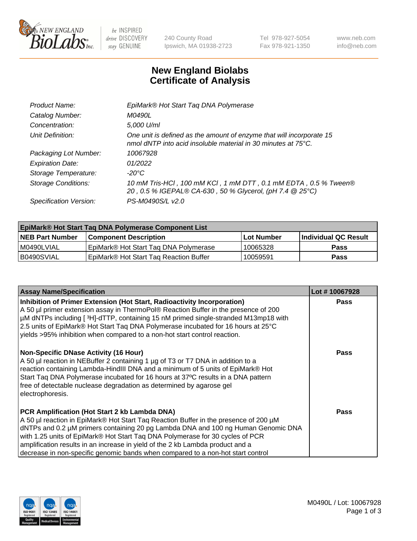

 $be$  INSPIRED drive DISCOVERY stay GENUINE

240 County Road Ipswich, MA 01938-2723 Tel 978-927-5054 Fax 978-921-1350 www.neb.com info@neb.com

## **New England Biolabs Certificate of Analysis**

| Product Name:           | EpiMark® Hot Start Tag DNA Polymerase                                                                                                           |
|-------------------------|-------------------------------------------------------------------------------------------------------------------------------------------------|
| Catalog Number:         | M0490L                                                                                                                                          |
| Concentration:          | 5,000 U/ml                                                                                                                                      |
| Unit Definition:        | One unit is defined as the amount of enzyme that will incorporate 15<br>nmol dNTP into acid insoluble material in 30 minutes at $75^{\circ}$ C. |
| Packaging Lot Number:   | 10067928                                                                                                                                        |
| <b>Expiration Date:</b> | 01/2022                                                                                                                                         |
| Storage Temperature:    | $-20^{\circ}$ C                                                                                                                                 |
| Storage Conditions:     | 10 mM Tris-HCl, 100 mM KCl, 1 mM DTT, 0.1 mM EDTA, 0.5 % Tween®<br>20, 0.5 % IGEPAL® CA-630, 50 % Glycerol, (pH 7.4 @ 25°C)                     |
| Specification Version:  | PS-M0490S/L v2.0                                                                                                                                |

| <b>EpiMark® Hot Start Taq DNA Polymerase Component List</b> |                                                    |              |                      |  |
|-------------------------------------------------------------|----------------------------------------------------|--------------|----------------------|--|
| <b>NEB Part Number</b>                                      | <b>Component Description</b>                       | l Lot Number | Individual QC Result |  |
| I M0490LVIAL                                                | EpiMark® Hot Start Tag DNA Polymerase              | 10065328     | <b>Pass</b>          |  |
| B0490SVIAL                                                  | EpiMark <sup>®</sup> Hot Start Tag Reaction Buffer | 10059591     | Pass                 |  |

| <b>Assay Name/Specification</b>                                                                                                                                                                                                                                                                                                                                                                                                                                                  | Lot #10067928 |
|----------------------------------------------------------------------------------------------------------------------------------------------------------------------------------------------------------------------------------------------------------------------------------------------------------------------------------------------------------------------------------------------------------------------------------------------------------------------------------|---------------|
| Inhibition of Primer Extension (Hot Start, Radioactivity Incorporation)<br>A 50 µl primer extension assay in ThermoPol® Reaction Buffer in the presence of 200<br>µM dNTPs including [3H]-dTTP, containing 15 nM primed single-stranded M13mp18 with<br>2.5 units of EpiMark® Hot Start Tag DNA Polymerase incubated for 16 hours at 25°C<br>yields >95% inhibition when compared to a non-hot start control reaction.                                                           | <b>Pass</b>   |
| <b>Non-Specific DNase Activity (16 Hour)</b><br>A 50 µl reaction in NEBuffer 2 containing 1 µg of T3 or T7 DNA in addition to a<br>reaction containing Lambda-HindIII DNA and a minimum of 5 units of EpiMark® Hot<br>Start Taq DNA Polymerase incubated for 16 hours at 37°C results in a DNA pattern<br>free of detectable nuclease degradation as determined by agarose gel<br>electrophoresis.                                                                               | Pass          |
| PCR Amplification (Hot Start 2 kb Lambda DNA)<br>A 50 µl reaction in EpiMark® Hot Start Tag Reaction Buffer in the presence of 200 µM<br>dNTPs and 0.2 µM primers containing 20 pg Lambda DNA and 100 ng Human Genomic DNA<br>with 1.25 units of EpiMark® Hot Start Taq DNA Polymerase for 30 cycles of PCR<br>amplification results in an increase in yield of the 2 kb Lambda product and a<br>decrease in non-specific genomic bands when compared to a non-hot start control | Pass          |

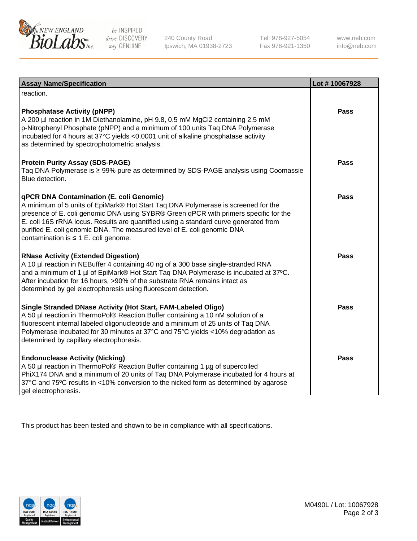

 $be$  INSPIRED drive DISCOVERY stay GENUINE

240 County Road Ipswich, MA 01938-2723 Tel 978-927-5054 Fax 978-921-1350 www.neb.com info@neb.com

| <b>Assay Name/Specification</b>                                                                                                                                                                                                                                                                                                                                                                                                       | Lot #10067928 |
|---------------------------------------------------------------------------------------------------------------------------------------------------------------------------------------------------------------------------------------------------------------------------------------------------------------------------------------------------------------------------------------------------------------------------------------|---------------|
| reaction.                                                                                                                                                                                                                                                                                                                                                                                                                             |               |
| <b>Phosphatase Activity (pNPP)</b><br>A 200 µl reaction in 1M Diethanolamine, pH 9.8, 0.5 mM MgCl2 containing 2.5 mM<br>p-Nitrophenyl Phosphate (pNPP) and a minimum of 100 units Taq DNA Polymerase<br>incubated for 4 hours at 37°C yields <0.0001 unit of alkaline phosphatase activity<br>as determined by spectrophotometric analysis.                                                                                           | Pass          |
| <b>Protein Purity Assay (SDS-PAGE)</b><br>Taq DNA Polymerase is ≥ 99% pure as determined by SDS-PAGE analysis using Coomassie<br>Blue detection.                                                                                                                                                                                                                                                                                      | Pass          |
| qPCR DNA Contamination (E. coli Genomic)<br>A minimum of 5 units of EpiMark® Hot Start Taq DNA Polymerase is screened for the<br>presence of E. coli genomic DNA using SYBR® Green qPCR with primers specific for the<br>E. coli 16S rRNA locus. Results are quantified using a standard curve generated from<br>purified E. coli genomic DNA. The measured level of E. coli genomic DNA<br>contamination is $\leq 1$ E. coli genome. | <b>Pass</b>   |
| <b>RNase Activity (Extended Digestion)</b><br>A 10 µl reaction in NEBuffer 4 containing 40 ng of a 300 base single-stranded RNA<br>and a minimum of 1 µl of EpiMark® Hot Start Taq DNA Polymerase is incubated at 37°C.<br>After incubation for 16 hours, >90% of the substrate RNA remains intact as<br>determined by gel electrophoresis using fluorescent detection.                                                               | Pass          |
| Single Stranded DNase Activity (Hot Start, FAM-Labeled Oligo)<br>A 50 µl reaction in ThermoPol® Reaction Buffer containing a 10 nM solution of a<br>fluorescent internal labeled oligonucleotide and a minimum of 25 units of Taq DNA<br>Polymerase incubated for 30 minutes at 37°C and 75°C yields <10% degradation as<br>determined by capillary electrophoresis.                                                                  | Pass          |
| <b>Endonuclease Activity (Nicking)</b><br>A 50 µl reaction in ThermoPol® Reaction Buffer containing 1 µg of supercoiled<br>PhiX174 DNA and a minimum of 20 units of Taq DNA Polymerase incubated for 4 hours at<br>37°C and 75°C results in <10% conversion to the nicked form as determined by agarose<br>gel electrophoresis.                                                                                                       | <b>Pass</b>   |

This product has been tested and shown to be in compliance with all specifications.